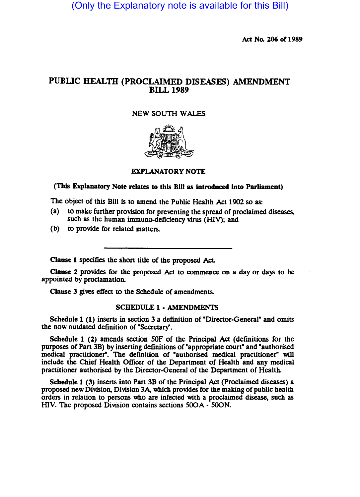(Only the Explanatory note is available for this Bill)

Act No. 206 of 1989

# PUBLIC HEALTH (PROCLAIMED DISEASES) AMENDMENT BILL 1989

## NEW SOUTH WALES



### EXPLANATORY NOTE

### (This Explanatory Note relates to this BlII as Introduced Into Parliament)

The object of this Bill is to amend the Public Health Act 1902 so as:

- (a) to make further provision for preventing the spread of proclaimed diseases, such as the human immuno-deficiency virus (HIY); and
- (b) to provide for related matters.

Clause 1 specifies the short title of the proposed Act.

Clause 2 provides for the proposed Act to commence on a day or days to be appointed by proclamation.

Clause 3 gives effect to the Schedule of amendments.

#### SCHEDULE 1- AMENDMENTS

Schedule 1  $(1)$  inserts in section 3 a definition of "Director-General" and omits the now outdated definition of "Secretary".

Schedule 1 (2) amends section 50F of the Principal Act (definitions for the purposes of Part 3B) by inserting definitions of "appropriate court" and "authorised medical practitioner". The definition of "authorised medical practitioner" will include the Chief Health Officer of the Department of Health and any medical practitioner authorised by the Director-General of the Department of Health.

Schedule 1 (3) inserts into Part 3B of the Principal Act (Proclaimed diseases) a proposed new Division, Division 3A, which provides for the making of public health orders in relation to persons who are infected with a proclaimed disease, such as HIV. The proposed Division contains sections 500A - SOON.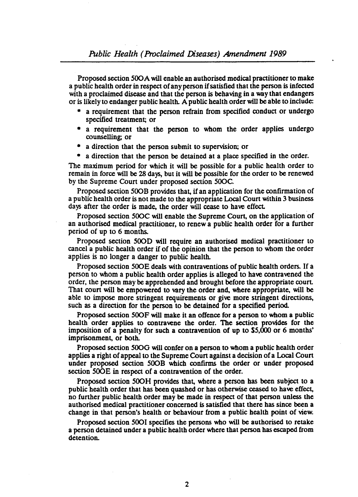Proposed section *SOOA* will enable an authorised medical practitioner to make a public health order in respect of any person if satisfied that the person is infected with a proclaimed disease and that the person is behaving in a way that endangers or is likely to endanger public health. A public health order will be able to include:

- a requirement that the person refrain from specified conduct or undergo specified treatment; or
- a requirement that the person to whom the order applies undergo counselling; or
- a direction that the person submit to supervision; or
- a direction that the person be detained at a place specified in the order.

The maximum period for which it will be possible for a public health order to remain in force will be 28 days, but it will be possible for the order to be renewed by the Supreme Court under proposed section *SOOC.* 

Proposed section SOOB provides that, if an application for the confirmation of a public health order is not made to the appropriate Local Court within 3 business days after the order is made, the order will cease to have effect.

Proposed section *SOOC* will enable the Supreme Court, on the application of an authorised medical practitioner, to renew a public health order for a further period of up to 6 months.

Proposed section 5000 will require an authorised medical practitioner to cancel a public health order if of the opinion that the person to whom the order applies is no longer a danger to public health.

Proposed section SOOE deals with contraventions of public health orders. If a person to whom a public health order applies is alleged to have contravened the order, the person may be apprehended and brought before the appropriate court. That court will be empowered to vary the order and. where appropriate, will be able to impose more stringent requirements or give more stringent directions, such as a direction for the person to be detained for a specified period.

Proposed section *SOOF* will make it an offence for a person to whom a public health order applies to contravene the order. The section provides for the impOSition of a penalty for such a contravention of up to S5,000 or 6 months' imprisonment, or both.

Proposed section *SOOG* will confer on a person to whom a public health order applies a right of appeal to the Supreme Court against a decision of a Local Court under proposed section 500B which confirms the order or under proposed section 500E in respect of a contravention of the order.

Proposed section 500H provides that, where a person has been subject to a public health order that has been quashed or has otherwise ceased to have effect, no further public health order may be made in respect of that person unless the authorised medical practitioner concerned is satisfied that there has since been a change in that person's health or behaviour from a public health point of view.

Proposed section 5001 specifies the persons who will be authorised to retake a person detained under a public health order where tbat person has escaped from detention.